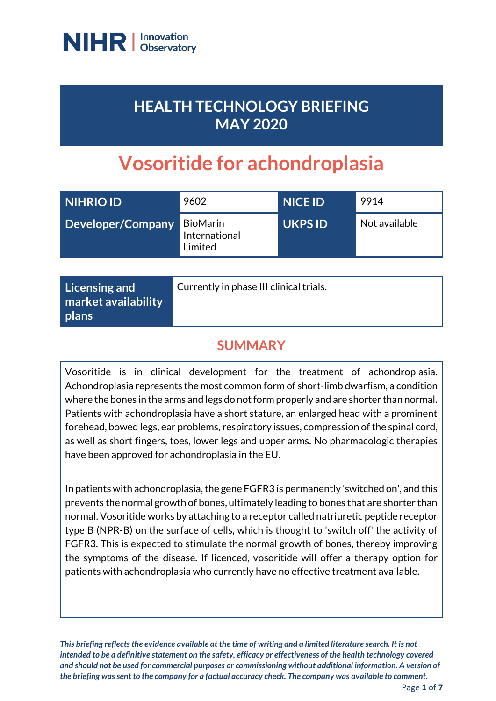

# **HEALTH TECHNOLOGY BRIEFING MAY 2020**

# **Vosoritide for achondroplasia**

| NIHRIO ID         | 9602                                        | <b>NICE ID</b> | 9914          |
|-------------------|---------------------------------------------|----------------|---------------|
| Developer/Company | <b>BioMarin</b><br>International<br>Limited | <b>UKPS ID</b> | Not available |

| <b>Licensing and</b><br>market availability<br>  plans | Currently in phase III clinical trials. |
|--------------------------------------------------------|-----------------------------------------|
|--------------------------------------------------------|-----------------------------------------|

# **SUMMARY**

Vosoritide is in clinical development for the treatment of achondroplasia. Achondroplasia represents the most common form of short-limb dwarfism, a condition where the bones in the arms and legs do not form properly and are shorter than normal. Patients with achondroplasia have a short stature, an enlarged head with a prominent forehead, bowed legs, ear problems, respiratory issues, compression of the spinal cord, as well as short fingers, toes, lower legs and upper arms. No pharmacologic therapies have been approved for achondroplasia in the EU.

In patients with achondroplasia, the gene FGFR3 is permanently 'switched on', and this prevents the normal growth of bones, ultimately leading to bones that are shorter than normal. Vosoritide works by attaching to a receptor called natriuretic peptide receptor type B (NPR-B) on the surface of cells, which is thought to 'switch off' the activity of FGFR3. This is expected to stimulate the normal growth of bones, thereby improving the symptoms of the disease. If licenced, vosoritide will offer a therapy option for patients with achondroplasia who currently have no effective treatment available.

*This briefing reflects the evidence available at the time of writing and a limited literature search. It is not intended to be a definitive statement on the safety, efficacy or effectiveness of the health technology covered and should not be used for commercial purposes or commissioning without additional information. A version of the briefing was sent to the company for a factual accuracy check. The company was available to comment.*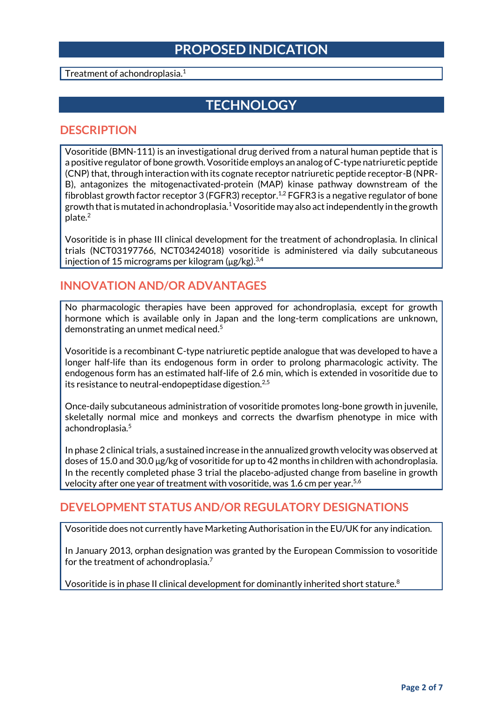### **PROPOSED INDICATION**

Treatment of achondroplasia.<sup>1</sup>

# **TECHNOLOGY**

#### **DESCRIPTION**

Vosoritide (BMN-111) is an investigational drug derived from a natural human peptide that is a positive regulator of bone growth. Vosoritide employs an analog of C-type natriuretic peptide (CNP) that, through interaction with its cognate receptor natriuretic peptide receptor-B (NPR-B), antagonizes the mitogenactivated-protein (MAP) kinase pathway downstream of the fibroblast growth factor receptor 3 (FGFR3) receptor.<sup>1,2</sup> FGFR3 is a negative regulator of bone growth that is mutated in achondroplasia.<sup>1</sup> Vosoritide may also act independently in the growth plate.<sup>2</sup>

Vosoritide is in phase III clinical development for the treatment of achondroplasia. In clinical trials (NCT03197766, NCT03424018) vosoritide is administered via daily subcutaneous injection of 15 micrograms per kilogram ( $\mu$ g/kg). $^{3,4}$ 

### **INNOVATION AND/OR ADVANTAGES**

No pharmacologic therapies have been approved for achondroplasia, except for growth hormone which is available only in Japan and the long-term complications are unknown, demonstrating an unmet medical need. 5

Vosoritide is a recombinant C-type natriuretic peptide analogue that was developed to have a longer half-life than its endogenous form in order to prolong pharmacologic activity. The endogenous form has an estimated half-life of 2.6 min, which is extended in vosoritide due to its resistance to neutral-endopeptidase digestion.<sup>2,5</sup>

Once-daily subcutaneous administration of vosoritide promotes long-bone growth in juvenile, skeletally normal mice and monkeys and corrects the dwarfism phenotype in mice with achondroplasia.<sup>5</sup>

In phase 2 clinical trials, a sustained increase in the annualized growth velocity was observed at doses of 15.0 and 30.0 μg/kg of vosoritide for up to 42 months in children with achondroplasia. In the recently completed phase 3 trial the placebo-adjusted change from baseline in growth velocity after one year of treatment with vosoritide, was 1.6 cm per year.<sup>5,6</sup>

### **DEVELOPMENT STATUS AND/OR REGULATORY DESIGNATIONS**

Vosoritide does not currently have Marketing Authorisation in the EU/UK for any indication.

In January 2013, orphan designation was granted by the European Commission to vosoritide for the treatment of achondroplasia.<sup>7</sup>

Vosoritide is in phase II clinical development for dominantly inherited short stature.<sup>8</sup>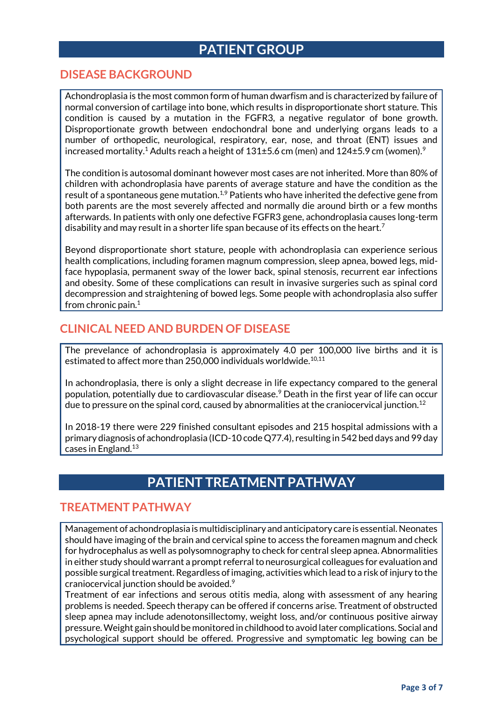## **PATIENT GROUP**

### **DISEASE BACKGROUND**

Achondroplasia is the most common form of human dwarfism and is characterized by failure of normal conversion of cartilage into bone, which results in disproportionate short stature. This condition is caused by a mutation in the FGFR3, a negative regulator of bone growth. Disproportionate growth between endochondral bone and underlying organs leads to a number of orthopedic, neurological, respiratory, ear, nose, and throat (ENT) issues and increased mortality.<sup>1</sup> Adults reach a height of  $131\pm5.6$  cm (men) and  $124\pm5.9$  cm (women).<sup>9</sup>

The condition is autosomal dominant however most cases are not inherited. More than 80% of children with achondroplasia have parents of average stature and have the condition as the result of a spontaneous gene mutation.<sup>1,9</sup> Patients who have inherited the defective gene from both parents are the most severely affected and normally die around birth or a few months afterwards. In patients with only one defective FGFR3 gene, achondroplasia causes long-term disability and may result in a shorter life span because of its effects on the heart.<sup>7</sup>

Beyond disproportionate short stature, people with achondroplasia can experience serious health complications, including foramen magnum compression, sleep apnea, bowed legs, midface hypoplasia, permanent sway of the lower back, spinal stenosis, recurrent ear infections and obesity. Some of these complications can result in invasive surgeries such as spinal cord decompression and straightening of bowed legs. Some people with achondroplasia also suffer from chronic pain. $1$ 

### **CLINICAL NEED AND BURDEN OF DISEASE**

The prevelance of achondroplasia is approximately 4.0 per 100,000 live births and it is estimated to affect more than 250,000 individuals worldwide. $10,11$ 

In achondroplasia, there is only a slight decrease in life expectancy compared to the general population, potentially due to cardiovascular disease.<sup>9</sup> Death in the first year of life can occur due to pressure on the spinal cord, caused by abnormalities at the craniocervical junction.<sup>12</sup>

In 2018-19 there were 229 finished consultant episodes and 215 hospital admissions with a primary diagnosis of achondroplasia (ICD-10 code Q77.4), resulting in 542 bed days and 99 day cases in England.<sup>13</sup>

# **PATIENT TREATMENT PATHWAY**

#### **TREATMENT PATHWAY**

Management of achondroplasia is multidisciplinary and anticipatory care is essential. Neonates should have imaging of the brain and cervical spine to access the foreamen magnum and check for hydrocephalus as well as polysomnography to check for central sleep apnea. Abnormalities in either study should warrant a prompt referral to neurosurgical colleagues for evaluation and possible surgical treatment. Regardless of imaging, activities which lead to a risk of injury to the craniocervical junction should be avoided.<sup>9</sup>

Treatment of ear infections and serous otitis media, along with assessment of any hearing problems is needed. Speech therapy can be offered if concerns arise. Treatment of obstructed sleep apnea may include adenotonsillectomy, weight loss, and/or continuous positive airway pressure. Weight gain should be monitored in childhood to avoid later complications. Social and psychological support should be offered. Progressive and symptomatic leg bowing can be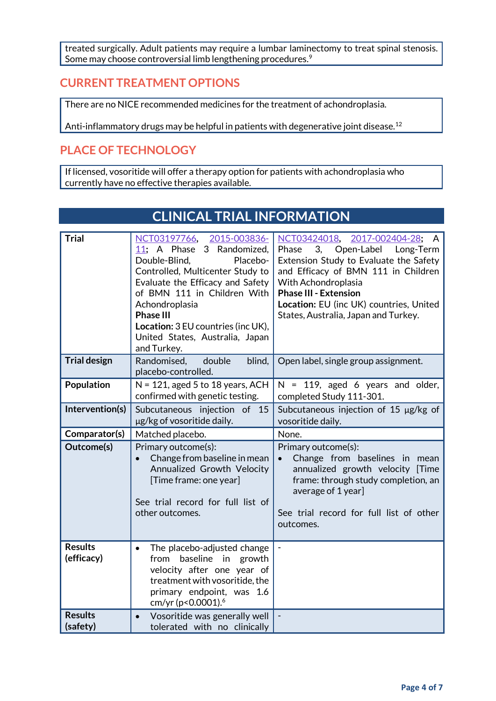treated surgically. Adult patients may require a lumbar laminectomy to treat spinal stenosis. Some may choose controversial limb lengthening procedures.<sup>9</sup>

### **CURRENT TREATMENT OPTIONS**

There are no NICE recommended medicines for the treatment of achondroplasia.

Anti-inflammatory drugs may be helpful in patients with degenerative joint disease.<sup>12</sup>

### **PLACE OF TECHNOLOGY**

If licensed, vosoritide will offer a therapy option for patients with achondroplasia who currently have no effective therapies available.

|                              | CEINICAE I NIAE INFONMATION                                                                                                                                                                                                                                                                                                     |                                                                                                                                                                                                                                                                                                           |  |
|------------------------------|---------------------------------------------------------------------------------------------------------------------------------------------------------------------------------------------------------------------------------------------------------------------------------------------------------------------------------|-----------------------------------------------------------------------------------------------------------------------------------------------------------------------------------------------------------------------------------------------------------------------------------------------------------|--|
| <b>Trial</b>                 | NCT03197766, 2015-003836-<br>11; A Phase 3 Randomized,<br>Double-Blind,<br>Placebo-<br>Controlled, Multicenter Study to<br>Evaluate the Efficacy and Safety<br>of BMN 111 in Children With<br>Achondroplasia<br><b>Phase III</b><br><b>Location:</b> 3 EU countries (inc UK),<br>United States, Australia, Japan<br>and Turkey. | NCT03424018,<br>2017-002404-28;<br>A<br>3,<br>Open-Label<br>Phase<br>Long-Term<br>Extension Study to Evaluate the Safety<br>and Efficacy of BMN 111 in Children<br>With Achondroplasia<br><b>Phase III - Extension</b><br>Location: EU (inc UK) countries, United<br>States, Australia, Japan and Turkey. |  |
| <b>Trial design</b>          | Randomised,<br>double<br>blind,<br>placebo-controlled.                                                                                                                                                                                                                                                                          | Open label, single group assignment.                                                                                                                                                                                                                                                                      |  |
| Population                   | $N = 121$ , aged 5 to 18 years, ACH<br>confirmed with genetic testing.                                                                                                                                                                                                                                                          | $N = 119$ , aged 6 years and older,<br>completed Study 111-301.                                                                                                                                                                                                                                           |  |
| Intervention(s)              | Subcutaneous injection of 15<br>µg/kg of vosoritide daily.                                                                                                                                                                                                                                                                      | Subcutaneous injection of 15 µg/kg of<br>vosoritide daily.                                                                                                                                                                                                                                                |  |
| Comparator(s)                | Matched placebo.                                                                                                                                                                                                                                                                                                                | None.                                                                                                                                                                                                                                                                                                     |  |
| Outcome(s)                   | Primary outcome(s):<br>Change from baseline in mean<br>$\bullet$<br>Annualized Growth Velocity<br>[Time frame: one year]<br>See trial record for full list of<br>other outcomes.                                                                                                                                                | Primary outcome(s):<br>Change from baselines in mean<br>$\bullet$<br>annualized growth velocity [Time<br>frame: through study completion, an<br>average of 1 year]<br>See trial record for full list of other<br>outcomes.                                                                                |  |
| <b>Results</b><br>(efficacy) | The placebo-adjusted change<br>$\bullet$<br>from baseline in<br>growth<br>velocity after one year of<br>treatment with vosoritide, the<br>primary endpoint, was 1.6<br>cm/yr (p<0.0001). <sup>6</sup>                                                                                                                           |                                                                                                                                                                                                                                                                                                           |  |
|                              |                                                                                                                                                                                                                                                                                                                                 |                                                                                                                                                                                                                                                                                                           |  |

## **CLINICAL TRIAL INFORMATION**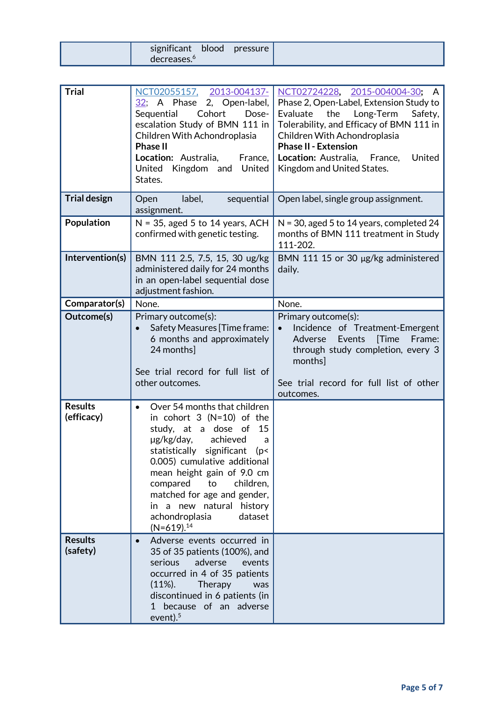| significant<br>blood    | pressure |  |
|-------------------------|----------|--|
| decreases. <sup>o</sup> |          |  |

| <b>Trial</b>                 | NCT02055157, 2013-004137-<br>$32$ ; A Phase 2, Open-label,<br>Sequential<br>Cohort<br>Dose-<br>escalation Study of BMN 111 in<br>Children With Achondroplasia<br><b>Phase II</b><br>Location: Australia,<br>France,<br>United Kingdom and United<br>States.                                                                                                                     | NCT02724228, 2015-004004-30;<br>A<br>Phase 2, Open-Label, Extension Study to<br>Evaluate<br>Long-Term<br>the<br>Safety,<br>Tolerability, and Efficacy of BMN 111 in<br>Children With Achondroplasia<br><b>Phase II - Extension</b><br>United<br>Location: Australia, France,<br>Kingdom and United States. |
|------------------------------|---------------------------------------------------------------------------------------------------------------------------------------------------------------------------------------------------------------------------------------------------------------------------------------------------------------------------------------------------------------------------------|------------------------------------------------------------------------------------------------------------------------------------------------------------------------------------------------------------------------------------------------------------------------------------------------------------|
| <b>Trial design</b>          | label,<br>sequential<br>Open<br>assignment.                                                                                                                                                                                                                                                                                                                                     | Open label, single group assignment.                                                                                                                                                                                                                                                                       |
| Population                   | $N = 35$ , aged 5 to 14 years, ACH<br>confirmed with genetic testing.                                                                                                                                                                                                                                                                                                           | $N = 30$ , aged 5 to 14 years, completed 24<br>months of BMN 111 treatment in Study<br>111-202.                                                                                                                                                                                                            |
| Intervention(s)              | BMN 111 2.5, 7.5, 15, 30 ug/kg<br>administered daily for 24 months<br>in an open-label sequential dose<br>adjustment fashion.                                                                                                                                                                                                                                                   | BMN 111 15 or 30 µg/kg administered<br>daily.                                                                                                                                                                                                                                                              |
| Comparator(s)                | None.                                                                                                                                                                                                                                                                                                                                                                           | None.                                                                                                                                                                                                                                                                                                      |
| Outcome(s)                   | Primary outcome(s):<br>Safety Measures [Time frame:<br>6 months and approximately<br>24 months]<br>See trial record for full list of<br>other outcomes.                                                                                                                                                                                                                         | Primary outcome(s):<br>Incidence of Treatment-Emergent<br>$\bullet$<br>Events<br><b>Time</b><br>Adverse<br>Frame:<br>through study completion, every 3<br>months]<br>See trial record for full list of other<br>outcomes.                                                                                  |
| <b>Results</b><br>(efficacy) | Over 54 months that children<br>$\bullet$<br>in cohort $3(N=10)$ of the<br>study, at a dose of<br>15<br>achieved<br>µg/kg/day,<br>a<br>statistically<br>significant<br>(p<<br>0.005) cumulative additional<br>mean height gain of 9.0 cm<br>compared<br>to<br>children,<br>matched for age and gender,<br>in a new natural history<br>achondroplasia<br>dataset<br>$(N=619).14$ |                                                                                                                                                                                                                                                                                                            |
| <b>Results</b><br>(safety)   | Adverse events occurred in<br>$\bullet$<br>35 of 35 patients (100%), and<br>serious<br>adverse<br>events<br>occurred in 4 of 35 patients<br>$(11\%).$<br>Therapy<br>was<br>discontinued in 6 patients (in<br>1 because of an adverse<br>event). $5$                                                                                                                             |                                                                                                                                                                                                                                                                                                            |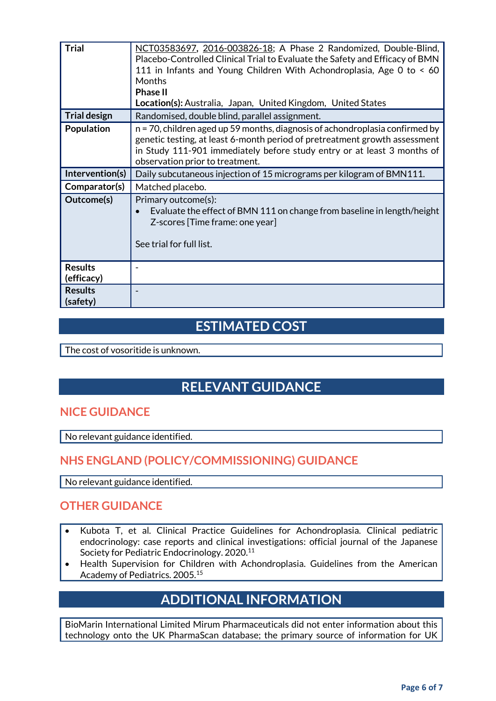| <b>Trial</b>                 | NCT03583697, 2016-003826-18; A Phase 2 Randomized, Double-Blind,<br>Placebo-Controlled Clinical Trial to Evaluate the Safety and Efficacy of BMN<br>111 in Infants and Young Children With Achondroplasia, Age 0 to < 60<br><b>Months</b><br><b>Phase II</b><br>Location(s): Australia, Japan, United Kingdom, United States |
|------------------------------|------------------------------------------------------------------------------------------------------------------------------------------------------------------------------------------------------------------------------------------------------------------------------------------------------------------------------|
| <b>Trial design</b>          | Randomised, double blind, parallel assignment.                                                                                                                                                                                                                                                                               |
| <b>Population</b>            | n = 70, children aged up 59 months, diagnosis of achondroplasia confirmed by<br>genetic testing, at least 6-month period of pretreatment growth assessment<br>in Study 111-901 immediately before study entry or at least 3 months of<br>observation prior to treatment.                                                     |
| Intervention(s)              | Daily subcutaneous injection of 15 micrograms per kilogram of BMN111.                                                                                                                                                                                                                                                        |
| Comparator(s)                | Matched placebo.                                                                                                                                                                                                                                                                                                             |
| Outcome(s)                   | Primary outcome(s):<br>Evaluate the effect of BMN 111 on change from baseline in length/height<br>Z-scores [Time frame: one year]<br>See trial for full list.                                                                                                                                                                |
| <b>Results</b><br>(efficacy) |                                                                                                                                                                                                                                                                                                                              |
| <b>Results</b><br>(safety)   |                                                                                                                                                                                                                                                                                                                              |

## **ESTIMATED COST**

The cost of vosoritide is unknown.

# **RELEVANT GUIDANCE**

#### **NICE GUIDANCE**

No relevant guidance identified.

### **NHS ENGLAND (POLICY/COMMISSIONING) GUIDANCE**

No relevant guidance identified.

### **OTHER GUIDANCE**

- Kubota T, et al. Clinical Practice Guidelines for Achondroplasia. Clinical pediatric endocrinology: case reports and clinical investigations: official journal of the Japanese Society for Pediatric Endocrinology. 2020.<sup>11</sup>
- Health Supervision for Children with Achondroplasia. Guidelines from the American Academy of Pediatrics. 2005.<sup>15</sup>

# **ADDITIONAL INFORMATION**

BioMarin International Limited Mirum Pharmaceuticals did not enter information about this technology onto the UK PharmaScan database; the primary source of information for UK